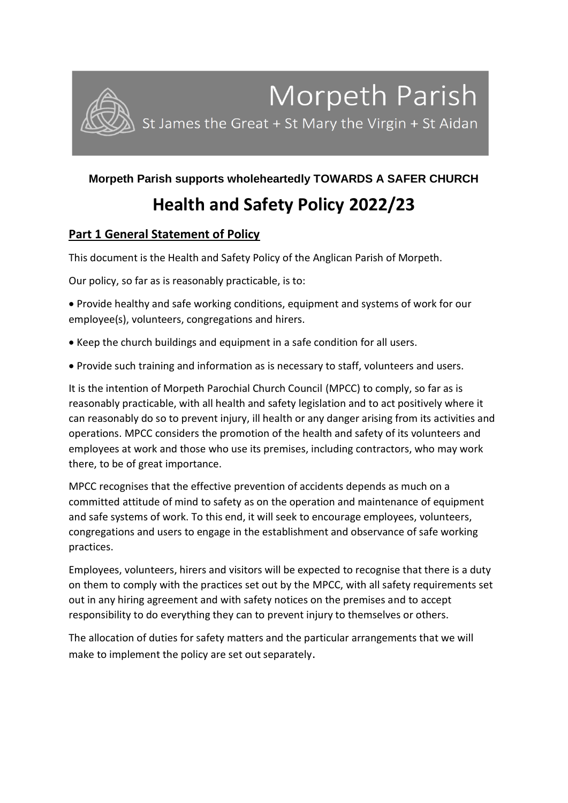

#### **Morpeth Parish supports wholeheartedly TOWARDS A SAFER CHURCH**

# **Health and Safety Policy 2022/23**

## **Part 1 General Statement of Policy**

This document is the Health and Safety Policy of the Anglican Parish of Morpeth.

Our policy, so far as is reasonably practicable, is to:

• Provide healthy and safe working conditions, equipment and systems of work for our employee(s), volunteers, congregations and hirers.

- Keep the church buildings and equipment in a safe condition for all users.
- Provide such training and information as is necessary to staff, volunteers and users.

It is the intention of Morpeth Parochial Church Council (MPCC) to comply, so far as is reasonably practicable, with all health and safety legislation and to act positively where it can reasonably do so to prevent injury, ill health or any danger arising from its activities and operations. MPCC considers the promotion of the health and safety of its volunteers and employees at work and those who use its premises, including contractors, who may work there, to be of great importance.

MPCC recognises that the effective prevention of accidents depends as much on a committed attitude of mind to safety as on the operation and maintenance of equipment and safe systems of work. To this end, it will seek to encourage employees, volunteers, congregations and users to engage in the establishment and observance of safe working practices.

Employees, volunteers, hirers and visitors will be expected to recognise that there is a duty on them to comply with the practices set out by the MPCC, with all safety requirements set out in any hiring agreement and with safety notices on the premises and to accept responsibility to do everything they can to prevent injury to themselves or others.

The allocation of duties for safety matters and the particular arrangements that we will make to implement the policy are set out separately.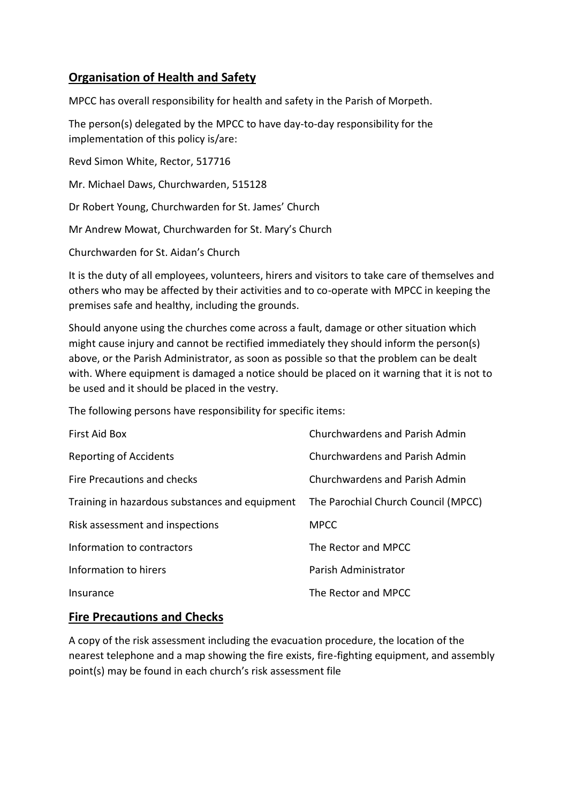### **Organisation of Health and Safety**

MPCC has overall responsibility for health and safety in the Parish of Morpeth.

The person(s) delegated by the MPCC to have day-to-day responsibility for the implementation of this policy is/are:

Revd Simon White, Rector, 517716

Mr. Michael Daws, Churchwarden, 515128

Dr Robert Young, Churchwarden for St. James' Church

Mr Andrew Mowat, Churchwarden for St. Mary's Church

Churchwarden for St. Aidan's Church

It is the duty of all employees, volunteers, hirers and visitors to take care of themselves and others who may be affected by their activities and to co-operate with MPCC in keeping the premises safe and healthy, including the grounds.

Should anyone using the churches come across a fault, damage or other situation which might cause injury and cannot be rectified immediately they should inform the person(s) above, or the Parish Administrator, as soon as possible so that the problem can be dealt with. Where equipment is damaged a notice should be placed on it warning that it is not to be used and it should be placed in the vestry.

The following persons have responsibility for specific items:

| First Aid Box                                  | Churchwardens and Parish Admin      |
|------------------------------------------------|-------------------------------------|
| Reporting of Accidents                         | Churchwardens and Parish Admin      |
| Fire Precautions and checks                    | Churchwardens and Parish Admin      |
| Training in hazardous substances and equipment | The Parochial Church Council (MPCC) |
| Risk assessment and inspections                | <b>MPCC</b>                         |
| Information to contractors                     | The Rector and MPCC                 |
| Information to hirers                          | Parish Administrator                |
| Insurance                                      | The Rector and MPCC                 |

#### **Fire Precautions and Checks**

A copy of the risk assessment including the evacuation procedure, the location of the nearest telephone and a map showing the fire exists, fire-fighting equipment, and assembly point(s) may be found in each church's risk assessment file